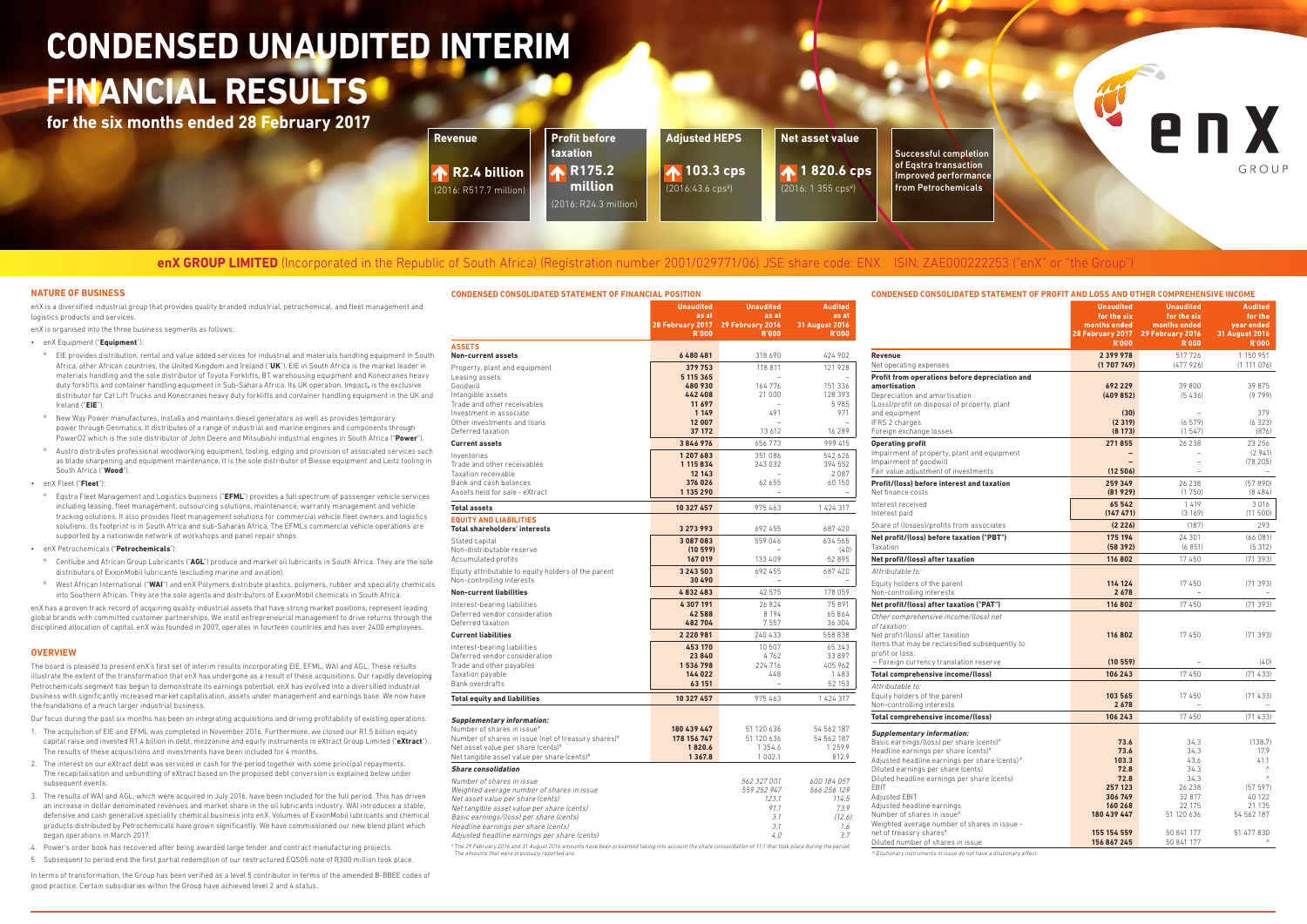# **enX GROUP LIMITED** (Incorporated in the Republic of South Africa) (Registration number 2001/029771/06) JSE share code: ENX ISIN: ZAE000222253 ("enX" or "the Group")

# **CONDENSED UNAUDITED INTERIM FINANCIAL RESULTS**

**for the six months ended 28 February 2017**

| <b>CONDENSED CONSOLIDATED STATEMENT OF FINANCIAL POSITION</b>                                                                                                |                                  |                                  |                                | CONDENSED CONSOLIDATED STATEMENT OF PROFIT AND LOSS AND OTHER COMPREHENSIVE INCOME |                                 |                                                   |                              |
|--------------------------------------------------------------------------------------------------------------------------------------------------------------|----------------------------------|----------------------------------|--------------------------------|------------------------------------------------------------------------------------|---------------------------------|---------------------------------------------------|------------------------------|
|                                                                                                                                                              | <b>Unaudited</b><br>as at        | <b>Unaudited</b><br>as at        | <b>Audited</b><br>as at        |                                                                                    | <b>Unaudited</b><br>for the six | <b>Unaudited</b><br>for the six                   | <b>Audited</b><br>for the    |
|                                                                                                                                                              | 28 February 2017<br><b>R'000</b> | 29 February 2016<br><b>R'000</b> | 31 August 2016<br><b>R'000</b> |                                                                                    | months ended                    | months ended<br>28 February 2017 29 February 2016 | year ended<br>31 August 2016 |
| <b>ASSETS</b>                                                                                                                                                |                                  |                                  |                                |                                                                                    | <b>R'000</b>                    | <b>R'000</b>                                      | <b>R'000</b>                 |
| <b>Non-current assets</b>                                                                                                                                    | 6480481                          | 318 690                          | 424 902                        | Revenue                                                                            | 2399978                         | 517 726                                           | 1 150 951                    |
| Property, plant and equipment                                                                                                                                | 379 753                          | 118 811                          | 121 928                        | Net operating expenses                                                             | (1707749)                       | (477926)                                          | (1 111 076)                  |
| Leasing assets                                                                                                                                               | 5 115 365                        | $\sim$                           |                                | Profit from operations before depreciation and                                     |                                 |                                                   |                              |
| Goodwill                                                                                                                                                     | 480 930                          | 164 776                          | 151 336                        | amortisation                                                                       | 692 229                         | 39 800                                            | 39 875                       |
| Intangible assets                                                                                                                                            | 442 408                          | 21 000                           | 128 393                        | Depreciation and amortisation                                                      | (409852)                        | (5436)                                            | (9799)                       |
| Trade and other receivables<br>Investment in associate                                                                                                       | 11 697<br>1 1 4 9                | 491                              | 5985<br>971                    | (Loss)/profit on disposal of property, plant<br>and equipment                      | (30)                            |                                                   | 379                          |
| Other investments and loans                                                                                                                                  | 12 007                           |                                  |                                | IFRS 2 charges                                                                     | (2319)                          | (6579)                                            | (6323)                       |
| Deferred taxation                                                                                                                                            | 37 172                           | 13 612                           | 16 289                         | Foreign exchange losses                                                            | (8173)                          | (1547)                                            | (876)                        |
| <b>Current assets</b>                                                                                                                                        | 3846976                          | 656 773                          | 999 415                        | <b>Operating profit</b>                                                            | 271855                          | 26 238                                            | 23 256                       |
| Inventories                                                                                                                                                  | 1 207 683                        | 351 086                          | 542 626                        | Impairment of property, plant and equipment                                        | ۰                               |                                                   | (2941)                       |
| Trade and other receivables                                                                                                                                  | 1 115 834                        | 243 032                          | 394 552                        | Impairment of goodwill                                                             |                                 |                                                   | (78205)                      |
| Taxation receivable                                                                                                                                          | 12 14 3                          |                                  | 2087                           | Fair value adjustment of investments                                               | (12506)                         |                                                   |                              |
| Bank and cash balances                                                                                                                                       | 376 026                          | 62 655                           | 60 150                         | Profit/(loss) before interest and taxation                                         | 259 349                         | 26 238                                            | (57890)                      |
| Assets held for sale - eXtract                                                                                                                               | 1 135 290                        |                                  | $\overline{\phantom{a}}$       | Net finance costs                                                                  | (81929)                         | (1750)                                            | (8484)                       |
| <b>Total assets</b>                                                                                                                                          | 10 327 457                       | 975463                           | 1 424 317                      | Interest received                                                                  | 65 542                          | 1 4 1 9                                           | 3016                         |
| <b>EQUITY AND LIABILITIES</b>                                                                                                                                |                                  |                                  |                                | Interest paid                                                                      | (147 471)                       | (3169)                                            | (11 500)                     |
| <b>Total shareholders' interests</b>                                                                                                                         | 3 273 993                        | 692 455                          | 687 420                        | Share of (losses)/profits from associates                                          | (2226)                          | (187)                                             | 293                          |
| Stated capital                                                                                                                                               | 3 087 083                        | 559 046                          | 634 565                        | Net profit/(loss) before taxation ("PBT")                                          | 175 194                         | 24 301                                            | (66081)                      |
| Non-distributable reserve                                                                                                                                    | (10599)                          |                                  | (40)                           | Taxation                                                                           | (58392)                         | (6851)                                            | (5312)                       |
| Accumulated profits                                                                                                                                          | 167 019                          | 133 409                          | 52 895                         | Net profit/(loss) after taxation                                                   | 116 802                         | 17450                                             | (71393)                      |
| Equity attributable to equity holders of the parent                                                                                                          | 3 2 4 3 5 0 3                    | 692 455                          | 687 420                        | Attributable to:                                                                   |                                 |                                                   |                              |
| Non-controlling interests                                                                                                                                    | 30 490                           |                                  |                                | Equity holders of the parent                                                       | 114 124                         | 17450                                             | (71393)                      |
| <b>Non-current liabilities</b>                                                                                                                               | 4832483                          | 42 575                           | 178 059                        | Non-controlling interests                                                          | 2678                            |                                                   |                              |
| Interest-bearing liabilities                                                                                                                                 | 4 307 191                        | 26 8 24                          | 75 891                         | Net profit/(loss) after taxation ("PAT")                                           | 116 802                         | 17450                                             | (71393)                      |
| Deferred vendor consideration                                                                                                                                | 42 588                           | 8 1 9 4                          | 65864                          | Other comprehensive income/(loss) net                                              |                                 |                                                   |                              |
| Deferred taxation                                                                                                                                            | 482 704                          | 7557                             | 36 304                         | of taxation:                                                                       |                                 |                                                   |                              |
| <b>Current liabilities</b>                                                                                                                                   | 2 2 2 0 9 8 1                    | 240 433                          | 558 838                        | Net profit/(loss) after taxation                                                   | 116 802                         | 17450                                             | (71393)                      |
| Interest-bearing liabilities                                                                                                                                 | 453 170                          | 10 507                           | 65 343                         | Items that may be reclassified subsequently to<br>profit or loss:                  |                                 |                                                   |                              |
| Deferred vendor consideration                                                                                                                                | 23840                            | 4762                             | 33 897                         | - Foreign currency translation reserve                                             | (10559)                         |                                                   | (40)                         |
| Trade and other payables<br>Taxation payable                                                                                                                 | 1536798<br>144 022               | 224 716<br>448                   | 405 962<br>1483                | Total comprehensive income/(loss)                                                  | 106 243                         | 17450                                             | (71433)                      |
| Bank overdrafts                                                                                                                                              | 63 151                           |                                  | 52 153                         |                                                                                    |                                 |                                                   |                              |
|                                                                                                                                                              |                                  |                                  |                                | Attributable to:<br>Equity holders of the parent                                   | 103 565                         | 17450                                             | (71433)                      |
| <b>Total equity and liabilities</b>                                                                                                                          | 10 327 457                       | 975 463                          | 1 424 317                      | Non-controlling interests                                                          | 2678                            |                                                   |                              |
| <b>Supplementary information:</b>                                                                                                                            |                                  |                                  |                                | Total comprehensive income/(loss)                                                  | 106 243                         | 17450                                             | (71433)                      |
| Number of shares in issue#                                                                                                                                   | 180 439 447                      | 51 120 636                       | 54 562 187                     |                                                                                    |                                 |                                                   |                              |
| Number of shares in issue (net of treasury shares)#                                                                                                          | 178 156 747                      | 51 120 636                       | 54 562 187                     | <b>Supplementary information:</b>                                                  |                                 |                                                   |                              |
| Net asset value per share (cents)#                                                                                                                           | 1820.6                           | 1 3 5 4 . 6                      | 1 2 5 9 . 9                    | Basic earnings/(loss) per share (cents)#<br>Headline earnings per share (cents)#   | 73.6<br>73.6                    | 34.3<br>34.3                                      | (138.7)<br>17.9              |
| Net tangible asset value per share (cents)#                                                                                                                  | 1 3 6 7.8                        | 1 0 0 2.1                        | 812.9                          | Adjusted headline earnings per share (cents)#                                      | 103.3                           | 43.6                                              | 41.1                         |
| <b>Share consolidation</b>                                                                                                                                   |                                  |                                  |                                | Diluted earnings per share (cents)                                                 | 72.8                            | 34.3                                              | $\wedge$                     |
| Number of shares in issue                                                                                                                                    |                                  | 562 327 001                      | 600 184 057                    | Diluted headline earnings per share (cents)                                        | 72.8                            | 34.3                                              | $\wedge$                     |
| Weighted average number of shares in issue                                                                                                                   |                                  | 559 252 947                      | 566 256 129                    | EBIT                                                                               | 257 123                         | 26 238                                            | (57597)                      |
| Net asset value per share (cents)                                                                                                                            |                                  | 123.1                            | 114.5                          | Adjusted EBIT                                                                      | 306 749<br>160 268              | 32 817<br>22 175                                  | 40 122<br>21 135             |
| Net tangible asset value per share (cents)                                                                                                                   |                                  | 91.1                             | 73.9                           | Adjusted headline earnings<br>Number of shares in issue#                           | 180 439 447                     | 51 120 636                                        | 54 562 187                   |
| Basic earnings/(loss) per share (cents)<br>Headline earnings per share (cents)                                                                               |                                  | 3.1<br>3.1                       | (12.6)<br>1.6                  | Weighted average number of shares in issue -                                       |                                 |                                                   |                              |
| Adjusted headline earnings per share (cents)                                                                                                                 |                                  | 4.0                              | 3.7                            | net of treasury shares#                                                            | 155 154 559                     | 50 841 177                                        | 51 477 830                   |
| # The 29 February 2016 and 31 August 2016 amounts have been presented taking into account the share consolidation of 11:1 that took place during the period. |                                  |                                  |                                | Diluted number of shares in issue                                                  | 156 867 245                     | 50 841 177                                        |                              |
| The amounts that were previously reported are:                                                                                                               |                                  |                                  |                                | ^ Dilutionary instruments in issue do not have a dilutionary effect.               |                                 |                                                   |                              |





# **NATURE OF BUSINESS**

enX is a diversified industrial group that provides quality branded industrial, petrochemical, and fleet management and logistics products and services.

enX is organised into the three business segments as follows:

### • enX Equipment ("**Equipment**"):

- º EIE provides distribution, rental and value added services for industrial and materials handling equipment in South Africa, other African countries, the United Kingdom and Ireland ("**UK**"). EIE in South Africa is the market leader in materials handling and the sole distributor of Toyota Forklifts, BT warehousing equipment and Konecranes heavy duty forklifts and container handling equipment in Sub-Sahara Africa. Its UK operation, Impact**,** is the exclusive distributor for Cat Lift Trucks and Konecranes heavy duty forklifts and container handling equipment in the UK and Ireland ("**EIE**").
- º New Way Power manufactures, installs and maintains diesel generators as well as provides temporary power through Genmatics. It distributes of a range of industrial and marine engines and components through PowerO2 which is the sole distributor of John Deere and Mitsubishi industrial engines in South Africa ("**Power**").
- º Austro distributes professional woodworking equipment, tooling, edging and provision of associated services such as blade sharpening and equipment maintenance. It is the sole distributor of Biesse equipment and Leitz tooling in South Africa ("**Wood**").
- • enX Fleet ("**Fleet**"):
- º Eqstra Fleet Management and Logistics business ("**EFML**") provides a full spectrum of passenger vehicle services including leasing, fleet management, outsourcing solutions, maintenance, warranty management and vehicle tracking solutions. It also provides fleet management solutions for commercial vehicle fleet owners and logistics solutions. Its footprint is in South Africa and sub-Saharan Africa. The EFML's commercial vehicle operations are supported by a nationwide network of workshops and panel repair shops.
- • enX Petrochemicals ("**Petrochemicals**"):
- º Centlube and African Group Lubricants ("**AGL**") produce and market oil lubricants in South Africa. They are the sole distributors of ExxonMobil lubricants (excluding marine and aviation).
- º West African International ("**WAI**") and enX Polymers distribute plastics, polymers, rubber and speciality chemicals into Southern African. They are the sole agents and distributors of ExxonMobil chemicals in South Africa.

enX has a proven track record of acquiring quality industrial assets that have strong market positions, represent leading global brands with committed customer partnerships. We instil entrepreneurial management to drive returns through the disciplined allocation of capital. enX was founded in 2007, operates in fourteen countries and has over 2400 employees.

# **OVERVIEW**

The board is pleased to present enX's first set of interim results incorporating EIE, EFML, WAI and AGL. These results illustrate the extent of the transformation that enX has undergone as a result of these acquisitions. Our rapidly developing Petrochemicals segment has begun to demonstrate its earnings potential. enX has evolved into a diversified industrial business with significantly increased market capitalisation, assets under management and earnings base. We now have the foundations of a much larger industrial business.

Our focus during the past six months has been on integrating acquisitions and driving profitability of existing operations:

- 1. The acquisition of EIE and EFML was completed in November 2016. Furthermore, we closed our R1.5 billion equity capital raise and invested R1.4 billion in debt, mezzanine and equity instruments in eXtract Group Limited ("**eXtract**"). The results of these acquisitions and investments have been included for 4 months.
- 2. The interest on our eXtract debt was serviced in cash for the period together with some principal repayments. The recapitalisation and unbundling of eXtract based on the proposed debt conversion is explained below under subsequent events.
- 3. The results of WAI and AGL, which were acquired in July 2016, have been included for the full period. This has driven an increase in dollar denominated revenues and market share in the oil lubricants industry. WAI introduces a stable, defensive and cash generative speciality chemical business into enX. Volumes of ExxonMobil lubricants and chemical products distributed by Petrochemicals have grown significantly. We have commissioned our new blend plant which began operations in March 2017.
- 4. Power's order book has recovered after being awarded large tender and contract manufacturing projects.
- 5. Subsequent to period end the first partial redemption of our restructured EQS05 note of R300 million took place.

In terms of transformation, the Group has been verified as a level 5 contributor in terms of the amended B-BBEE codes of good practice. Certain subsidiaries within the Group have achieved level 2 and 4 status.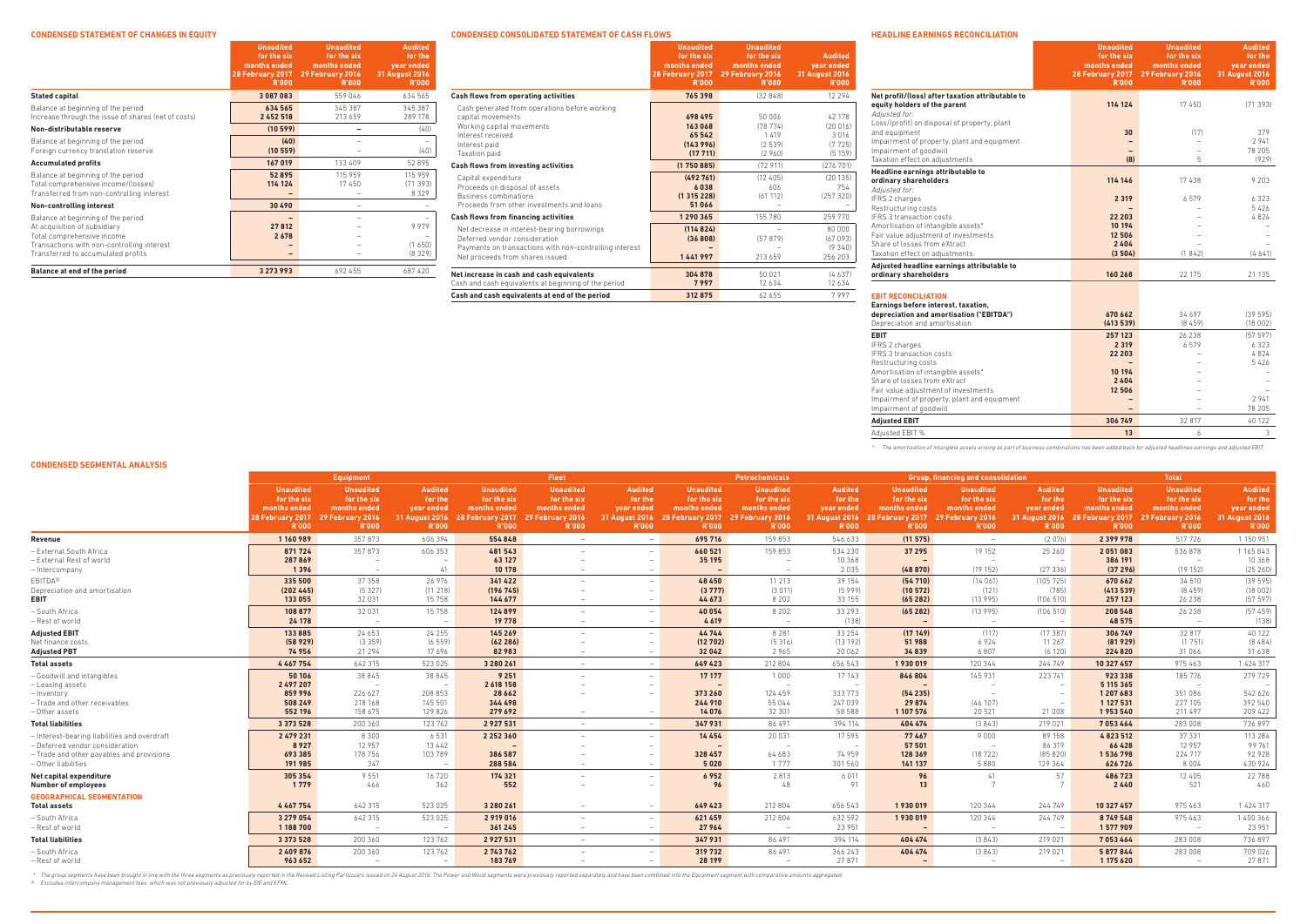### **CONDENSED SEGMENTAL ANALYSIS**

|                                                                                                     | <b>Equipment</b><br><b>Fleet</b>                                                    |                                                                                     | Petrochemicals                                                            | <b>Group, financing and consolidation</b>                       |                                                                                                      |                                                                                                |                                                                                                                     | <b>Total</b>                                                    |                                                                           |                                                                                                      |                                                                 |                                                                           |                                                                                                      |                                                                 |                                                                    |
|-----------------------------------------------------------------------------------------------------|-------------------------------------------------------------------------------------|-------------------------------------------------------------------------------------|---------------------------------------------------------------------------|-----------------------------------------------------------------|------------------------------------------------------------------------------------------------------|------------------------------------------------------------------------------------------------|---------------------------------------------------------------------------------------------------------------------|-----------------------------------------------------------------|---------------------------------------------------------------------------|------------------------------------------------------------------------------------------------------|-----------------------------------------------------------------|---------------------------------------------------------------------------|------------------------------------------------------------------------------------------------------|-----------------------------------------------------------------|--------------------------------------------------------------------|
|                                                                                                     | <b>Unaudited</b><br>for the six<br>months ended<br>28 February 2017<br><b>R'000</b> | <b>Unaudited</b><br>for the six<br>months ended<br>29 February 2016<br><b>R'000</b> | <b>Audited</b><br>for the<br>year ended<br>31 August 2016<br><b>R'000</b> | <b>Unaudited</b><br>for the six<br>months ended<br><b>R'000</b> | <b>Unaudited</b><br>for the six<br>months ended<br>28 February 2017 29 February 2016<br><b>R'000</b> | <b>Audited</b><br>for the<br>year ended<br><b>R'000</b>                                        | <b>Unaudited</b><br>for the six<br>months ended<br>31 August 2016 28 February 2017 29 February 2016<br><b>R'000</b> | <b>Unaudited</b><br>for the six<br>months ended<br><b>R'000</b> | <b>Audited</b><br>for the<br>year ended<br>31 August 2016<br><b>R'000</b> | <b>Unaudited</b><br>for the six<br>months ended<br>28 February 2017 29 February 2016<br><b>R'000</b> | <b>Unaudited</b><br>for the six<br>months ended<br><b>R'000</b> | <b>Audited</b><br>for the<br>year ended<br>31 August 2016<br><b>R'000</b> | <b>Unaudited</b><br>for the six<br>months ended<br>28 February 2017 29 February 2016<br><b>R'000</b> | <b>Unaudited</b><br>for the six<br>months ended<br><b>R'000</b> | <b>Audited</b><br>for the<br>year ended<br>31 August 2016<br>R'000 |
| Revenue                                                                                             | 1160989                                                                             | 357873                                                                              | 606 394                                                                   | 554848                                                          | $-$                                                                                                  | $\sim$                                                                                         | 695716                                                                                                              | 159 853                                                         | 546 633                                                                   | (11575)                                                                                              | $\overline{\phantom{0}}$                                        | (2076)                                                                    | 2399978                                                                                              | 517726                                                          | 1 150 951                                                          |
| - External South Africa<br>- External Rest of world<br>– Intercompany                               | 871724<br>287869<br>1396                                                            | 357873<br>$\overline{\phantom{0}}$<br>$\hspace{0.1mm}-\hspace{0.1mm}$               | 606 353<br>41                                                             | 481543<br>63 127<br>10 178                                      | $\sim$                                                                                               | $\hspace{0.1mm}-\hspace{0.1mm}$<br>$\sim$                                                      | 660 521<br>35 195<br>$\sim$                                                                                         | 159 853<br>$\hspace{0.1mm}$<br>$\hspace{0.1mm}$                 | 534 230<br>10 368<br>2035                                                 | 37 295<br>$\overline{\phantom{0}}$<br>(48870)                                                        | 19 15 2<br>$-$<br>(19152)                                       | 25 260<br>(27336)                                                         | 2051083<br>386 191<br>(37296)                                                                        | 536878<br>$\hspace{0.1mm}-\hspace{0.1mm}$<br>(19152)            | 1 165 843<br>10 368<br>(25 260)                                    |
| <b>EBITDA®</b><br>Depreciation and amortisation<br>EBIT                                             | 335 500<br>(202445)<br>133 055                                                      | 37 358<br>(5327)<br>32 031                                                          | 26 976<br>(11 218)<br>15 7 5 8                                            | 341 422<br>(196 745)<br>144 677                                 | $-$                                                                                                  | $\sim$<br>$\overline{\phantom{0}}$                                                             | 48 450<br>(3777)<br>44 673                                                                                          | 11 213<br>(3011)<br>8 2 0 2                                     | 39 154<br>(5999)<br>33 155                                                | (54710)<br>(10572)<br>(65282)                                                                        | (14061)<br>(121)<br>(13995)                                     | (105725)<br>(785)<br>(106510)                                             | 670 662<br>(413539)<br>257 123                                                                       | 34 510<br>(8459)<br>26 238                                      | (39595)<br>(18002)<br>(57597)                                      |
| - South Africa<br>- Rest of world                                                                   | 108 877<br>24 178                                                                   | 32 031<br>$\overline{\phantom{a}}$                                                  | 15 7 5 8                                                                  | 124899<br>19 7 78                                               | $-$                                                                                                  | $\overline{\phantom{m}}$<br>$-$                                                                | 40 054<br>4619                                                                                                      | 8 2 0 2<br>$-$                                                  | 33 29 3<br>(138)                                                          | (65282)<br>$-$                                                                                       | (13995)<br>$\overline{\phantom{0}}$                             | (106510)<br>$\sim$                                                        | 208548<br>48 575                                                                                     | 26 238<br>$-$                                                   | (57459)<br>(138)                                                   |
| <b>Adjusted EBIT</b><br>Net finance costs<br><b>Adjusted PBT</b>                                    | 133885<br>(58929)<br>74956                                                          | 24 653<br>(3359)<br>21 2 9 4                                                        | 24 25 5<br>(6559)<br>17696                                                | 145 269<br>(62286)<br>82 983                                    | $\overline{\phantom{0}}$<br>$\overline{\phantom{0}}$                                                 | $\overline{\phantom{m}}$<br>$\hspace{0.1mm}-\hspace{0.1mm}$<br>$\hspace{0.1mm}-\hspace{0.1mm}$ | 44744<br>(12702)<br>32042                                                                                           | 8 2 8 1<br>(5316)<br>2965                                       | 33 254<br>(13192)<br>20 062                                               | (17149)<br>51 988<br>34839                                                                           | (117)<br>6924<br>6807                                           | (17387)<br>11 267<br>(6120)                                               | 306 749<br>(81929)<br>224 820                                                                        | 32 817<br>(1751)<br>31066                                       | 40 122<br>(8484)<br>31 638                                         |
| <b>Total assets</b>                                                                                 | 4467754                                                                             | 642 315                                                                             | 523 025                                                                   | 3 280 261                                                       | $\sim$                                                                                               | $\sim$                                                                                         | 649423                                                                                                              | 212 804                                                         | 656 543                                                                   | 1930019                                                                                              | 120 344                                                         | 244 749                                                                   | 10 327 457                                                                                           | 975463                                                          | 1 424 317                                                          |
| - Goodwill and intangibles<br>– Leasing assets<br>– Inventorv                                       | 50 10 6<br>2 497 207<br>859 996                                                     | 38 8 4 5<br>$\overline{\phantom{a}}$<br>226 627                                     | 38 845<br>208 853                                                         | 9 2 5 1<br>2 618 158<br>28 6 6 2                                |                                                                                                      | $\sim$                                                                                         | 17 17 7<br>$\overline{\phantom{0}}$<br>373 260                                                                      | 1000<br>$\overline{\phantom{a}}$<br>124 459                     | 17 143<br>$\overline{\phantom{0}}$<br>333 773                             | 846804<br>(54235)                                                                                    | 145 931<br>$-$                                                  | 223 741                                                                   | 923 338<br>5 115 365<br>1207683                                                                      | 185 776<br>$\overline{\phantom{a}}$<br>351 086                  | 279 729<br>542 626                                                 |
| - Trade and other receivables<br>- Other assets                                                     | 508 249<br>552 196                                                                  | 218 168<br>158 675                                                                  | 145 501<br>129 826                                                        | 344498<br>279 692                                               | $\overline{\phantom{0}}$                                                                             | $\sim$                                                                                         | 244 910<br>14 0 76                                                                                                  | 55044<br>32 301                                                 | 247 039<br>58 588                                                         | 29 874<br>1 107 576                                                                                  | (46107)<br>20 5 21                                              | 21 008                                                                    | 1 127 531<br>1953540                                                                                 | 227 105<br>211 497                                              | 392 540<br>209 422                                                 |
| <b>Total liabilities</b><br>- Interest-bearing liabilities and overdraft                            | 3 3 7 3 5 2 8<br>2 479 231                                                          | 200 360<br>8 3 0 0                                                                  | 123 762<br>6531                                                           | 2927531<br>2 2 5 2 3 6 0                                        | $-$                                                                                                  | $\sim$                                                                                         | 347 931<br>14454                                                                                                    | 86 491<br>20 031                                                | 394 114<br>17595                                                          | 404 474<br>77467                                                                                     | (3843)<br>9000                                                  | 219 021<br>89 158                                                         | 7053464<br>4823512                                                                                   | 283008<br>37 331                                                | 736 897<br>113 284                                                 |
| - Deferred vendor consideration<br>- Trade and other payables and provisions<br>– Other liabilities | 8927<br>693 385<br>191985                                                           | 12 9 5 7<br>178 756<br>347                                                          | 13 4 4 2<br>103 789                                                       | $\overline{\phantom{0}}$<br>386587<br>288584                    |                                                                                                      | $\hspace{0.1mm}-\hspace{0.1mm}$                                                                | $\overline{\phantom{0}}$<br>328 457<br>5020                                                                         | $\overline{\phantom{0}}$<br>64 683<br>1 7 7 7                   | $\sim$<br>74 959<br>301 560                                               | 57 501<br>128 369<br>141 137                                                                         | $\overline{\phantom{a}}$<br>(18722)<br>5880                     | 86 319<br>(85 820)<br>129 364                                             | 66428<br>1536798<br>626 726                                                                          | 12 957<br>224 717<br>8004                                       | 99 761<br>92928<br>430 924                                         |
| Net capital expenditure<br><b>Number of employees</b>                                               | 305 354<br>1 7 7 9                                                                  | 9 5 5 1<br>466                                                                      | 16 720<br>362                                                             | 174 321<br>552                                                  | $\overline{\phantom{0}}$                                                                             |                                                                                                | 6952<br>96                                                                                                          | 2813<br>48                                                      | 6011<br>91                                                                | 96<br>13                                                                                             | 41                                                              | 57                                                                        | 486723<br>2440                                                                                       | 12 4 0 5<br>521                                                 | 22 788<br>460                                                      |
| <b>GEOGRAPHICAL SEGMENTATION</b><br>Total assets                                                    | 4467754                                                                             | 642 315                                                                             | 523 025                                                                   | 3 280 261                                                       | $\overline{\phantom{0}}$                                                                             | $\hspace{0.1mm}-\hspace{0.1mm}$                                                                | 649 423                                                                                                             | 212 804                                                         | 656 543                                                                   | 1930019                                                                                              | 120 344                                                         | 244 749                                                                   | 10 327 457                                                                                           | 975463                                                          | 1 424 317                                                          |
| - South Africa<br>- Rest of world                                                                   | 3 279 054<br>1 188 700                                                              | 642 315                                                                             | 523 025                                                                   | 2 919 016<br>361 245                                            | $\overline{\phantom{0}}$                                                                             | $-$<br>$\overline{\phantom{a}}$                                                                | 621459<br>27964                                                                                                     | 212 804<br>$\overline{\phantom{a}}$                             | 632 592<br>23 951                                                         | 1930019                                                                                              | 120 344                                                         | 244 749                                                                   | 8749548<br>1577909                                                                                   | 975463<br>$\hspace{0.1mm}-\hspace{0.1mm}$                       | 1400366<br>23 951                                                  |
| <b>Total liabilities</b>                                                                            | 3 3 7 3 5 2 8                                                                       | 200 360                                                                             | 123 762                                                                   | 2927531                                                         | $\sim$                                                                                               | $\sim$                                                                                         | 347 931                                                                                                             | 86 491                                                          | 394 114                                                                   | 404 474                                                                                              | (3843)                                                          | 219 021                                                                   | 7053464                                                                                              | 283008                                                          | 736 897                                                            |
| - South Africa<br>- Rest of world                                                                   | 2 409 876<br>963 652                                                                | 200 360<br>$\overline{\phantom{a}}$                                                 | 123 762<br>$\overline{\phantom{0}}$                                       | 2743762<br>183769                                               | $\sim$                                                                                               | $\overline{\phantom{0}}$<br>$\hspace{0.1mm}-\hspace{0.1mm}$                                    | 319 732<br>28 199                                                                                                   | 86 491<br>$-$                                                   | 366 243<br>27871                                                          | 404 474<br>$\sim$                                                                                    | (3843)<br>$\overline{\phantom{a}}$                              | 219 021<br>$\overline{\phantom{a}}$                                       | 5877844<br>1 175 620                                                                                 | 283008<br>$\overline{\phantom{a}}$                              | 709 026<br>27 871                                                  |

\* The group segments have been brought in line with the three segments as previously reported in the Revised Listing Particulars issued on 24 August 2016. The Power and Wood segments were previously reported separately and

#### **for the six months ended for the six months ended for the year ended**<br>31 August 2016 **28 February 2017 29 February 2016 31 August 2016 R'000 R'000 R'000 Stated capital 3 087 083** 559 046 634 565 Balance at beginning of the period **634 565** 345 387 345 387 Increase through the issue of shares (net of costs) **2 452 518** 213 659 289 178 **Non-distributable reserve (10 599) –** (40) Balance at beginning of the period **(40)** –  $-$  (40) – (40) – (40) – (40) Foreign currency translation reserve **Accumulated profits 167 019** 133 409 52 895 Balance at beginning of the period **52 895** 115 959 115 959 Total comprehensive income/(losses) **114 124** 17 450 (71 393)<br>Transferred from non-controlling interest **14 124** 17 450 (71 393) Transferred from non-controlling interest **Non-controlling interest 30 490** – – Balance at beginning of the period **–** – – At acquisition of subsidiary **27 812**<br>
Total comprehensive income Total comprehensive income<br>
Transactions with non-controlling interest<br>
Transactions with non-controlling interest<br> **2678** – – (1650) Transactions with non-controlling interest **–** – (1 650) Transferred to accumulated profits **–** – (8 329) **Balance at end of the period 3 273 993** 692 455 687 420

# **CONDENSED STATEMENT OF CHANGES IN EQUITY**

**Unaudited**

**Unaudited**

**Audited**

**CONDENSED CONSOLIDATED STATEMENT OF CASH FLOWS**

|                                                                                                                                                                           | <b>Unaudited</b><br>for the six<br>months ended<br>28 February 2017<br><b>R'000</b> | <b>Unaudited</b><br>for the six<br>months ended<br>29 February 2016<br><b>R'000</b> | <b>Audited</b><br>year ended<br><b>31 August 2016</b><br><b>R'000</b> |
|---------------------------------------------------------------------------------------------------------------------------------------------------------------------------|-------------------------------------------------------------------------------------|-------------------------------------------------------------------------------------|-----------------------------------------------------------------------|
| <b>Cash flows from operating activities</b>                                                                                                                               | 765 398                                                                             | (32848)                                                                             | 12 2 9 4                                                              |
| Cash generated from operations before working<br>capital movements<br>Working capital movements<br>Interest received<br>Interest paid<br>Taxation paid                    | 698 495<br>163068<br>65 542<br>(143996)<br>(17711)                                  | 50 006<br>(78774)<br>1419<br>(2539)<br>(2960)                                       | 42 178<br>(20016)<br>3016<br>(7725)<br>(5159)                         |
| Cash flows from investing activities                                                                                                                                      | (1750885)                                                                           | (72911)                                                                             | (276 701)                                                             |
| Capital expenditure<br>Proceeds on disposal of assets<br>Business combinations<br>Proceeds from other investments and loans                                               | (492761)<br>6038<br>(1315228)<br>51066                                              | (12405)<br>606<br>(61112)                                                           | (20135)<br>754<br>(257320)                                            |
| <b>Cash flows from financing activities</b>                                                                                                                               | 1 290 365                                                                           | 155 780                                                                             | 259770                                                                |
| Net decrease in interest-bearing borrowings<br>Deferred vendor consideration<br>Payments on transactions with non-controlling interest<br>Net proceeds from shares issued | (114824)<br>(36808)<br>1441997                                                      | (57879)<br>213 659                                                                  | 80.000<br>(67093)<br>(9340)<br>256 203                                |
| Net increase in cash and cash equivalents<br>Cash and cash equivalents at beginning of the period                                                                         | 304 878<br>7997                                                                     | 50 0 21<br>12 6 3 4                                                                 | (4637)<br>12634                                                       |
| Cash and cash equivalents at end of the period                                                                                                                            | 312875                                                                              | 62 655                                                                              | 7997                                                                  |

### **HEADLINE EARNINGS RECONCILIATION**

| HEADLINE EARNINGS RECONCILIATION                                                                                                       | <b>Unaudited</b><br>for the six<br>months ended<br>28 February 2017<br><b>R'000</b> | <b>Unaudited</b><br>for the six<br>months ended<br>29 February 2016<br><b>R'000</b> | <b>Audited</b><br>for the<br>year ended<br><b>31 August 2016</b><br><b>R'000</b> |
|----------------------------------------------------------------------------------------------------------------------------------------|-------------------------------------------------------------------------------------|-------------------------------------------------------------------------------------|----------------------------------------------------------------------------------|
| Net profit/(loss) after taxation attributable to<br>equity holders of the parent<br>Adjusted for:                                      | 114 124                                                                             | 17450                                                                               | (71393)                                                                          |
| Loss/(profit) on disposal of property, plant<br>and equipment<br>Impairment of property, plant and equipment<br>Impairment of goodwill | 30                                                                                  | (17)<br>$\equiv$                                                                    | 379<br>2 9 4 1<br>78 205                                                         |
| Taxation effect on adjustments                                                                                                         | (8)                                                                                 | 5                                                                                   | (929)                                                                            |
| Headline earnings attributable to<br>ordinary shareholders<br>Adjusted for:                                                            | 114 146                                                                             | 17438                                                                               | 9 2 0 3                                                                          |
| IFRS 2 charges<br>Restructuring costs<br><b>IFRS 3 transaction costs</b>                                                               | 2 3 1 9<br>22 203                                                                   | 6579                                                                                | 6323<br>5426<br>4824                                                             |
| Amortisation of intangible assets*<br>Fair value adjustment of investments<br>Share of losses from eXtract                             | 10 194<br>12506<br>2404                                                             |                                                                                     |                                                                                  |
| Taxation effect on adjustments                                                                                                         | (3504)                                                                              | (1842)                                                                              | (4641)                                                                           |
| Adjusted headline earnings attributable to<br>ordinary shareholders                                                                    | 160 268                                                                             | 22 175                                                                              | 21 135                                                                           |
| <b>EBIT RECONCILIATION</b><br>Earnings before interest, taxation,                                                                      |                                                                                     |                                                                                     |                                                                                  |
| depreciation and amortisation ("EBITDA")<br>Depreciation and amortisation                                                              | 670 662<br>(413539)                                                                 | 34 697<br>(8459)                                                                    | (39595)<br>(18002)                                                               |
| <b>EBIT</b><br>IFRS 2 charges<br><b>IFRS 3 transaction costs</b>                                                                       | 257 123<br>2 3 1 9<br>22 203                                                        | 26 238<br>6579                                                                      | (57597)<br>6323<br>4824                                                          |
| Restructuring costs<br>Amortisation of intangible assets*<br>Share of losses from eXtract                                              | 10 194<br>2404                                                                      |                                                                                     | 5426                                                                             |
| Fair value adjustment of investments<br>Impairment of property, plant and equipment<br>Impairment of goodwill                          | 12506                                                                               | $\qquad \qquad -$                                                                   | 2 9 4 1<br>78 205                                                                |
| <b>Adjusted EBIT</b>                                                                                                                   | 306 749                                                                             | 32 817                                                                              | 40 122                                                                           |
| Adjusted EBIT %                                                                                                                        | 13                                                                                  | 6                                                                                   | 3                                                                                |

|                                                                                                                                        | <b>Unaudited</b><br>for the six<br>months ended<br>28 February 2017<br><b>R'000</b> | <b>Unaudited</b><br>for the six<br>months ended<br>29 February 2016<br><b>R'000</b> | <b>Audited</b><br>for the<br>year ended<br><b>31 August 2016</b><br><b>R'000</b> |
|----------------------------------------------------------------------------------------------------------------------------------------|-------------------------------------------------------------------------------------|-------------------------------------------------------------------------------------|----------------------------------------------------------------------------------|
| Net profit/(loss) after taxation attributable to<br>equity holders of the parent<br>Adjusted for:                                      | 114 124                                                                             | 17450                                                                               | (71393)                                                                          |
| Loss/(profit) on disposal of property, plant<br>and equipment<br>Impairment of property, plant and equipment<br>Impairment of goodwill | 30                                                                                  | (17)<br>$\equiv$                                                                    | 379<br>2941<br>78 205                                                            |
| Taxation effect on adjustments                                                                                                         | (8)                                                                                 | 5                                                                                   | (929)                                                                            |
| Headline earnings attributable to<br>ordinary shareholders<br>Adjusted for:                                                            | 114 146                                                                             | 17438                                                                               | 9 2 0 3                                                                          |
| IFRS 2 charges<br>Restructuring costs<br><b>IFRS 3 transaction costs</b>                                                               | 2 3 1 9<br>22 203                                                                   | 6579                                                                                | 6323<br>5426<br>4824                                                             |
| Amortisation of intangible assets*<br>Fair value adjustment of investments<br>Share of losses from eXtract                             | 10 194<br>12506<br>2404                                                             |                                                                                     |                                                                                  |
| Taxation effect on adjustments                                                                                                         | (3504)                                                                              | (1842)                                                                              | (4641)                                                                           |
| Adjusted headline earnings attributable to<br>ordinary shareholders                                                                    | 160 268                                                                             | 22 175                                                                              | 21 135                                                                           |
| <b>EBIT RECONCILIATION</b><br>Earnings before interest, taxation,                                                                      |                                                                                     |                                                                                     |                                                                                  |
| depreciation and amortisation ("EBITDA")<br>Depreciation and amortisation                                                              | 670 662<br>(413539)                                                                 | 34 697<br>(8459)                                                                    | (39595)<br>(18002)                                                               |
| <b>EBIT</b><br>IFRS 2 charges<br><b>IERS 3 transaction costs</b>                                                                       | 257 123<br>2 3 1 9<br>22 203                                                        | 26 238<br>6579                                                                      | (57597)<br>6323<br>4824                                                          |
| Restructuring costs<br>Amortisation of intangible assets*<br>Share of losses from eXtract                                              | 10 194<br>2404                                                                      |                                                                                     | 5426                                                                             |
| Fair value adjustment of investments<br>Impairment of property, plant and equipment<br>Impairment of goodwill                          | 12506                                                                               |                                                                                     | 2 9 4 1<br>78 205                                                                |
| <b>Adjusted EBIT</b>                                                                                                                   | 306 749                                                                             | 32 817                                                                              | 40 122                                                                           |
| Adjusted EBIT %                                                                                                                        | 13                                                                                  | 6                                                                                   | 3                                                                                |

\* The amortisation of intangible assets arising as part of business combinations has been added back for adjusted headlines earnings and adjusted EBIT.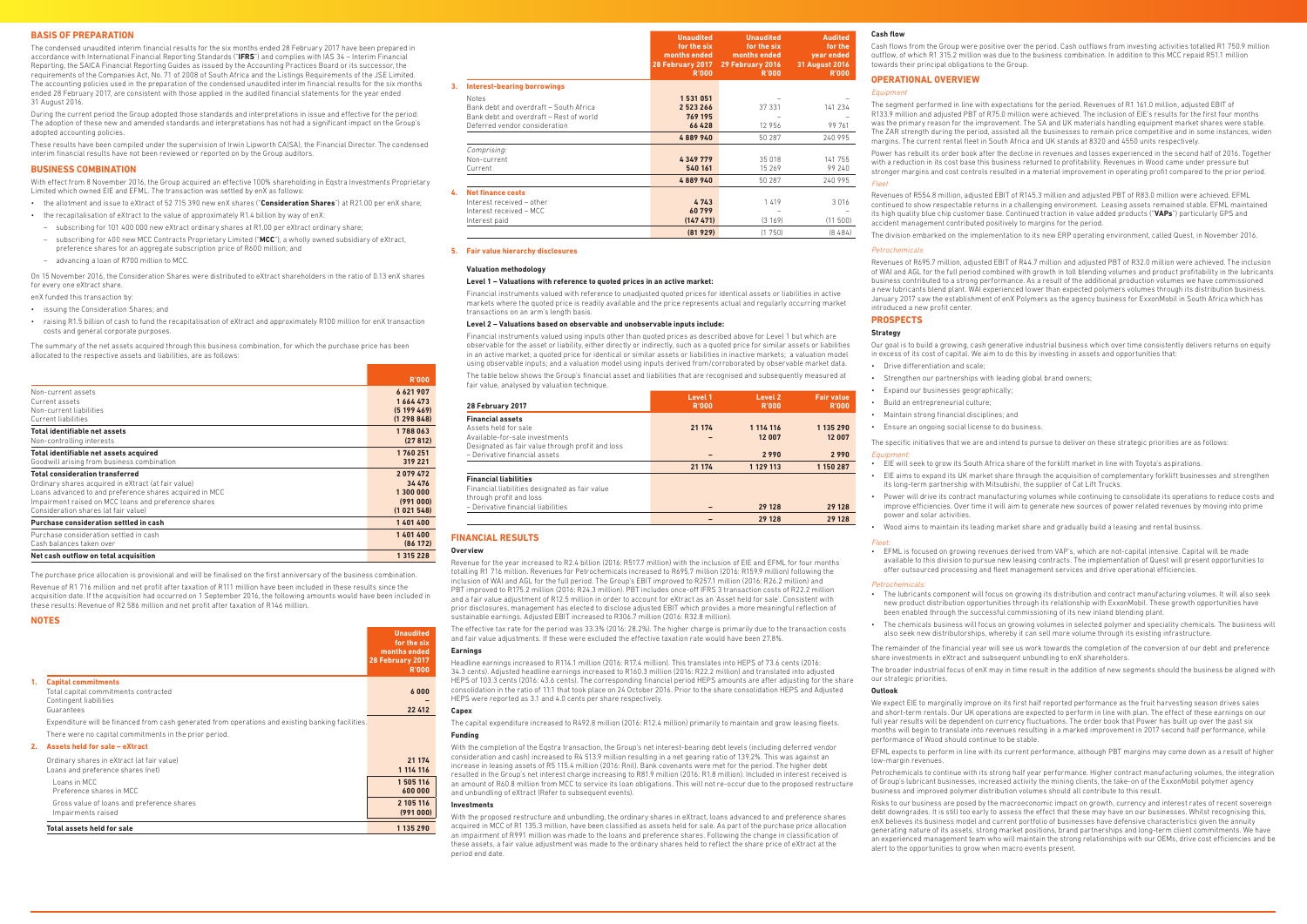### **BUSINESS COMBINATION**

With effect from 8 November 2016, the Group acquired an effective 100% shareholding in Eqstra Investments Proprietary Limited which owned EIE and EFML. The transaction was settled by enX as follows:

• the allotment and issue to eXtract of 52 715 390 new enX shares ("**Consideration Shares**") at R21.00 per enX share;

- • the recapitalisation of eXtract to the value of approximately R1.4 billion by way of enX:
- subscribing for 101 400 000 new eXtract ordinary shares at R1.00 per eXtract ordinary share;
- subscribing for 400 new MCC Contracts Proprietary Limited ("**MCC**"), a wholly owned subsidiary of eXtract, preference shares for an aggregate subscription price of R600 million; and
- advancing a loan of R700 million to MCC.

On 15 November 2016, the Consideration Shares were distributed to eXtract shareholders in the ratio of 0.13 enX shares for every one eXtract share.

enX funded this transaction by:

- • issuing the Consideration Shares; and
- • raising R1.5 billion of cash to fund the recapitalisation of eXtract and approximately R100 million for enX transaction costs and general corporate purposes.

The summary of the net assets acquired through this business combination, for which the purchase price has been allocated to the respective assets and liabilities, are as follows:

|                                                         | <b>R'000</b>  |
|---------------------------------------------------------|---------------|
| Non-current assets                                      | 6621907       |
| Current assets                                          | 1664473       |
| Non-current liabilities                                 | (5199469)     |
| Current liabilities                                     | (1298848)     |
| <b>Total identifiable net assets</b>                    | 1788063       |
| Non-controlling interests                               | (27812)       |
| Total identifiable net assets acquired                  | 1760251       |
| Goodwill arising from business combination              | 319 221       |
| <b>Total consideration transferred</b>                  | 2079472       |
| Ordinary shares acquired in eXtract (at fair value)     | 34 476        |
| Loans advanced to and preference shares acquired in MCC | 1 300 000     |
| Impairment raised on MCC loans and preference shares    | (991000)      |
| Consideration shares (at fair value)                    | (1021548)     |
| Purchase consideration settled in cash                  | 1401400       |
| Purchase consideration settled in cash                  | 1401400       |
| Cash balances taken over                                | (86172)       |
| Net cash outflow on total acquisition                   | 1 3 1 5 2 2 8 |

The purchase price allocation is provisional and will be finalised on the first anniversary of the business combination.

Revenue of R1 716 million and net profit after taxation of R111 million have been included in these results since the acquisition date. If the acquisition had occurred on 1 September 2016, the following amounts would have been included in The table below shows the Group's financial asset and liabilities that are recognised and subsequently measured at fair value, analysed by valuation technique

these results: Revenue of R2 586 million and net profit after taxation of R146 million.

#### **NOTES**

|    |                                                                                                   | <b>Unaudited</b><br>for the six<br>months ended<br>28 February 2017<br><b>R'000</b> |
|----|---------------------------------------------------------------------------------------------------|-------------------------------------------------------------------------------------|
| 1. | <b>Capital commitments</b>                                                                        |                                                                                     |
|    | Total capital commitments contracted                                                              | 6000                                                                                |
|    | Contingent liabilities<br>Guarantees                                                              | 22 412                                                                              |
|    | Expenditure will be financed from cash generated from operations and existing banking facilities. |                                                                                     |
|    | There were no capital commitments in the prior period.                                            |                                                                                     |
| 2. | Assets held for sale - eXtract                                                                    |                                                                                     |
|    | Ordinary shares in eXtract (at fair value)                                                        | 21 174                                                                              |
|    | Loans and preference shares (net)                                                                 | 1 114 116                                                                           |
|    | Loans in MCC                                                                                      | 1505116                                                                             |
|    | Preference shares in MCC                                                                          | 600 000                                                                             |
|    | Gross value of loans and preference shares                                                        | 2 105 116                                                                           |

Impairments raised **(991 000) Total assets held for sale 1 135 290** **Unaudited Unaudited**

**Audited**

|    |                                         | for the six<br>months ended<br>28 February 2017<br><b>R'000</b> | for the six<br>months ended<br>29 February 2016<br><b>R'000</b> | for the<br>year ended<br><b>31 August 2016</b><br>R'000 |
|----|-----------------------------------------|-----------------------------------------------------------------|-----------------------------------------------------------------|---------------------------------------------------------|
| 3. | <b>Interest-bearing borrowings</b>      |                                                                 |                                                                 |                                                         |
|    | <b>Notes</b>                            | 1531051                                                         |                                                                 |                                                         |
|    | Bank debt and overdraft - South Africa  | 2523266                                                         | 37 331                                                          | 141 234                                                 |
|    | Bank debt and overdraft - Rest of world | 769 195                                                         |                                                                 |                                                         |
|    | Deferred vendor consideration           | 66 428                                                          | 12 956                                                          | 99 761                                                  |
|    |                                         | 4889940                                                         | 50 287                                                          | 240 995                                                 |
|    | Comprising:                             |                                                                 |                                                                 |                                                         |
|    | Non-current                             | 4349779                                                         | 35 018                                                          | 141 755                                                 |
|    | Current                                 | 540 161                                                         | 15 269                                                          | 99 240                                                  |
|    |                                         | 4889940                                                         | 50 287                                                          | 240 995                                                 |
| 4. | <b>Net finance costs</b>                |                                                                 |                                                                 |                                                         |
|    | Interest received - other               | 4743                                                            | 1419                                                            | 3016                                                    |
|    | Interest received - MCC                 | 60799                                                           |                                                                 |                                                         |
|    | Interest paid                           | (14747)                                                         | (3169)                                                          | (11 500)                                                |
|    |                                         | (81929)                                                         | (1750)                                                          | (8484)                                                  |

### **5. Fair value hierarchy disclosures**

### **Valuation methodology**

### **Level 1 – Valuations with reference to quoted prices in an active market:**

Financial instruments valued with reference to unadjusted quoted prices for identical assets or liabilities in active markets where the quoted price is readily available and the price represents actual and regularly occurring market transactions on an arm's length basis.

### **Level 2 – Valuations based on observable and unobservable inputs include:**

Financial instruments valued using inputs other than quoted prices as described above for Level 1 but which are observable for the asset or liability, either directly or indirectly, such as a quoted price for similar assets or liabilities in an active market; a quoted price for identical or similar assets or liabilities in inactive markets; a valuation model using observable inputs; and a valuation model using inputs derived from/corroborated by observable market data.

| 28 February 2017                                 | Level 1<br><b>R'000</b> | Level <sub>2</sub><br><b>R'000</b> | <b>Fair value</b><br><b>R'000</b> |
|--------------------------------------------------|-------------------------|------------------------------------|-----------------------------------|
| <b>Financial assets</b>                          |                         |                                    |                                   |
| Assets held for sale                             | 21 174                  | 1 114 116                          | 1 135 290                         |
| Available-for-sale investments                   |                         | 12 007                             | 12 007                            |
| Designated as fair value through profit and loss |                         |                                    |                                   |
| - Derivative financial assets                    |                         | 2990                               | 2990                              |
|                                                  | 21 174                  | 1 129 113                          | 1 150 287                         |
| <b>Financial liabilities</b>                     |                         |                                    |                                   |
| Financial liabilities designated as fair value   |                         |                                    |                                   |
| through profit and loss                          |                         |                                    |                                   |
| - Derivative financial liabilities               |                         | 29 128                             | 29 128                            |
|                                                  |                         | 29 128                             | 29 128                            |

# **FINANCIAL RESULTS**

# **Overview**

Revenue for the year increased to R2.4 billion (2016: R517.7 million) with the inclusion of EIE and EFML for four months totalling R1 716 million. Revenues for Petrochemicals increased to R695.7 million (2016: R159.9 million) following the inclusion of WAI and AGL for the full period. The Group's EBIT improved to R257.1 million (2016: R26.2 million) and PBT improved to R175.2 million (2016: R24.3 million). PBT includes once-off IFRS 3 transaction costs of R22.2 million and a fair value adjustment of R12.5 million in order to account for eXtract as an 'Asset held for sale'. Consistent with prior disclosures, management has elected to disclose adjusted EBIT which provides a more meaningful reflection of sustainable earnings. Adjusted EBIT increased to R306.7 million (2016: R32.8 million).

The effective tax rate for the period was 33.3% (2016: 28.2%). The higher charge is primarily due to the transaction costs and fair value adjustments. If these were excluded the effective taxation rate would have been 27.8%.

# **Earnings**

Headline earnings increased to R114.1 million (2016: R17.4 million). This translates into HEPS of 73.6 cents (2016: 34.3 cents). Adjusted headline earnings increased to R160.3 million (2016: R22.2 million) and translated into adjusted HEPS of 103.3 cents (2016: 43.6 cents). The corresponding financial period HEPS amounts are after adjusting for the share consolidation in the ratio of 11:1 that took place on 24 October 2016. Prior to the share consolidation HEPS and Adjusted HEPS were reported as 3.1 and 4.0 cents per share respectively.

We expect EIE to marginally improve on its first half reported performance as the fruit harvesting season drives sales and short-term rentals. Our UK operations are expected to perform in line with plan. The effect of these earnings on our full year results will be dependent on currency fluctuations. The order book that Power has built up over the past six months will begin to translate into revenues resulting in a marked improvement in 2017 second half performance, while

### **Capex**

The capital expenditure increased to R492.8 million (2016: R12.4 million) primarily to maintain and grow leasing fleets. **Funding**

With the completion of the Eqstra transaction, the Group's net interest-bearing debt levels (including deferred vendor consideration and cash) increased to R4 513.9 million resulting in a net gearing ratio of 139.2%. This was against an increase in leasing assets of R5 115.4 million (2016: Rnil). Bank covenants were met for the period. The higher debt resulted in the Group's net interest charge increasing to R81.9 million (2016: R1.8 million). Included in interest received is an amount of R60.8 million from MCC to service its loan obligations. This will not re-occur due to the proposed restructure and unbundling of eXtract (Refer to subsequent events).

#### **Investments**

With the proposed restructure and unbundling, the ordinary shares in eXtract, loans advanced to and preference shares acquired in MCC of R1 135.3 million, have been classified as assets held for sale. As part of the purchase price allocation an impairment of R991 million was made to the loans and preference shares. Following the change in classification of these assets, a fair value adjustment was made to the ordinary shares held to reflect the share price of eXtract at the period end date.

### **Cash flow**

Cash flows from the Group were positive over the period. Cash outflows from investing activities totalled R1 750.9 million outflow, of which R1 315.2 million was due to the business combination. In addition to this MCC repaid R51.1 million towards their principal obligations to the Group.

# **OPERATIONAL OVERVIEW**

### **Equipment**

The segment performed in line with expectations for the period. Revenues of R1 161.0 million, adjusted EBIT of R133.9 million and adjusted PBT of R75.0 million were achieved. The inclusion of EIE's results for the first four months was the primary reason for the improvement. The SA and UK materials handling equipment market shares were stable. The ZAR strength during the period, assisted all the businesses to remain price competitive and in some instances, widen margins. The current rental fleet in South Africa and UK stands at 8320 and 4550 units respectively.

Power has rebuilt its order book after the decline in revenues and losses experienced in the second half of 2016. Together with a reduction in its cost base this business returned to profitability. Revenues in Wood came under pressure but stronger margins and cost controls resulted in a material improvement in operating profit compared to the prior period. Fleet

Revenues of R554.8 million, adjusted EBIT of R145.3 million and adjusted PBT of R83.0 million were achieved. EFML continued to show respectable returns in a challenging environment. Leasing assets remained stable. EFML maintained its high quality blue chip customer base. Continued traction in value added products ("**VAPs**") particularly GPS and accident management contributed positively to margins for the period.

The division embarked on the implementation to its new ERP operating environment, called Quest, in November 2016.

### Petrochemicals

Revenues of R695.7 million, adjusted EBIT of R44.7 million and adjusted PBT of R32.0 million were achieved. The inclusion of WAI and AGL for the full period combined with growth in toll blending volumes and product profitability in the lubricants business contributed to a strong performance. As a result of the additional production volumes we have commissioned a new lubricants blend plant. WAI experienced lower than expected polymers volumes through its distribution business. January 2017 saw the establishment of enX Polymers as the agency business for ExxonMobil in South Africa which has introduced a new profit center.

# **PROSPECTS**

# **Strategy**

Our goal is to build a growing, cash generative industrial business which over time consistently delivers returns on equity in excess of its cost of capital. We aim to do this by investing in assets and opportunities that:

• Strengthen our partnerships with leading global brand owners;

- • Drive differentiation and scale;
- 
- • Expand our businesses geographically;
- • Build an entrepreneurial culture;
- • Ensure an ongoing social license to do business.
	-
- 
- 
- • Maintain strong financial disciplines; and
	-

The specific initiatives that we are and intend to pursue to deliver on these strategic priorities are as follows:

# Equipment:

• EIE will seek to grow its South Africa share of the forklift market in line with Toyota's aspirations.

• EIE aims to expand its UK market share through the acquisition of complementary forklift businesses and strengthen its long-term partnership with Mitsubishi, the supplier of Cat Lift Trucks.

• Power will drive its contract manufacturing volumes while continuing to consolidate its operations to reduce costs and improve efficiencies. Over time it will aim to generate new sources of power related revenues by moving into prime

- -
	- power and solar activities.
	-

• Wood aims to maintain its leading market share and gradually build a leasing and rental businss.

#### Fleet:

• EFML is focused on growing revenues derived from VAP's, which are not-capital intensive. Capital will be made available to this division to pursue new leasing contracts. The implementation of Quest will present opportunities to offer outsourced processing and fleet management services and drive operational efficiencies.

#### Petrochemicals:

- 
- 

• The lubricants component will focus on growing its distribution and contract manufacturing volumes. It will also seek new product distribution opportunities through its relationship with ExxonMobil. These growth opportunities have been enabled through the successful commissioning of its new inland blending plant.

• The chemicals business will focus on growing volumes in selected polymer and speciality chemicals. The business will also seek new distributorships, whereby it can sell more volume through its existing infrastructure.

The remainder of the financial year will see us work towards the completion of the conversion of our debt and preference share investments in eXtract and subsequent unbundling to enX shareholders.

The broader industrial focus of enX may in time result in the addition of new segments should the business be aligned with

our strategic priorities.

# **Outlook**

performance of Wood should continue to be stable.

EFML expects to perform in line with its current performance, although PBT margins may come down as a result of higher

low-margin revenues.

Petrochemicals to continue with its strong half year performance. Higher contract manufacturing volumes, the integration of Group's lubricant businesses, increased activity the mining clients, the take-on of the ExxonMobil polymer agency business and improved polymer distribution volumes should all contribute to this result.

Risks to our business are posed by the macroeconomic impact on growth, currency and interest rates of recent sovereign debt downgrades. It is still too early to assess the effect that these may have on our businesses. Whilst recognising this, enX believes its business model and current portfolio of businesses have defensive characteristics given the annuity generating nature of its assets, strong market positions, brand partnerships and long-term client commitments. We have an experienced management team who will maintain the strong relationships with our OEMs, drive cost efficiencies and be alert to the opportunities to grow when macro events present.

# **BASIS OF PREPARATION**

The condensed unaudited interim financial results for the six months ended 28 February 2017 have been prepared in accordance with International Financial Reporting Standards ("**IFRS**") and complies with IAS 34 – Interim Financial Reporting, the SAICA Financial Reporting Guides as issued by the Accounting Practices Board or its successor, the requirements of the Companies Act, No. 71 of 2008 of South Africa and the Listings Requirements of the JSE Limited. The accounting policies used in the preparation of the condensed unaudited interim financial results for the six months ended 28 February 2017, are consistent with those applied in the audited financial statements for the year ended 31 August 2016.

During the current period the Group adopted those standards and interpretations in issue and effective for the period. The adoption of these new and amended standards and interpretations has not had a significant impact on the Group's adopted accounting policies.

These results have been compiled under the supervision of Irwin Lipworth CA(SA), the Financial Director. The condensed interim financial results have not been reviewed or reported on by the Group auditors.